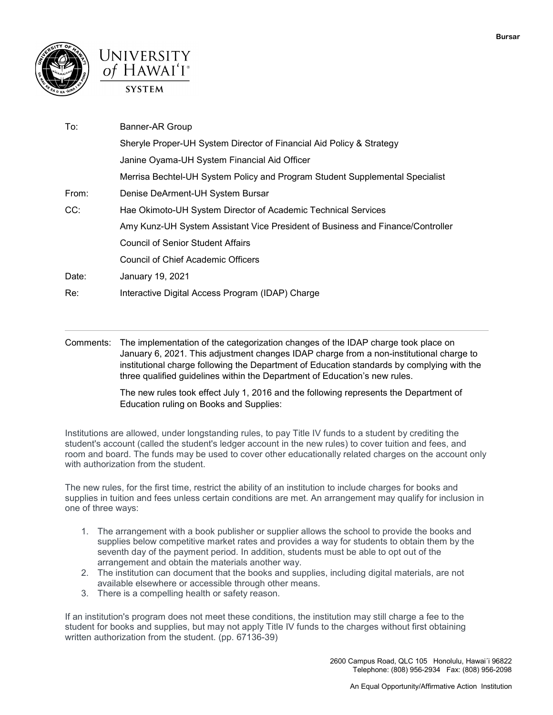



| To:   | Banner-AR Group                                                                |
|-------|--------------------------------------------------------------------------------|
|       | Sheryle Proper-UH System Director of Financial Aid Policy & Strategy           |
|       | Janine Oyama-UH System Financial Aid Officer                                   |
|       | Merrisa Bechtel-UH System Policy and Program Student Supplemental Specialist   |
| From: | Denise DeArment-UH System Bursar                                               |
| CC:   | Hae Okimoto-UH System Director of Academic Technical Services                  |
|       | Amy Kunz-UH System Assistant Vice President of Business and Finance/Controller |
|       | <b>Council of Senior Student Affairs</b>                                       |
|       | <b>Council of Chief Academic Officers</b>                                      |
| Date: | January 19, 2021                                                               |
| Re:   | Interactive Digital Access Program (IDAP) Charge                               |

 January 6, 2021. This adjustment changes IDAP charge from a non-institutional charge to Comments: The implementation of the categorization changes of the IDAP charge took place on institutional charge following the Department of Education standards by complying with the three qualified guidelines within the Department of Education's new rules.

> The new rules took effect July 1, 2016 and the following represents the Department of Education ruling on Books and Supplies:

 room and board. The funds may be used to cover other educationally related charges on the account only Institutions are allowed, under longstanding rules, to pay Title IV funds to a student by crediting the student's account (called the student's ledger account in the new rules) to cover tuition and fees, and with authorization from the student.

The new rules, for the first time, restrict the ability of an institution to include charges for books and supplies in tuition and fees unless certain conditions are met. An arrangement may qualify for inclusion in one of three ways:

- 1. The arrangement with a book publisher or supplier allows the school to provide the books and supplies below competitive market rates and provides a way for students to obtain them by the seventh day of the payment period. In addition, students must be able to opt out of the arrangement and obtain the materials another way.
- 2. The institution can document that the books and supplies, including digital materials, are not available elsewhere or accessible through other means.
- 3. There is a compelling health or safety reason.

If an institution's program does not meet these conditions, the institution may still charge a fee to the student for books and supplies, but may not apply Title IV funds to the charges without first obtaining written authorization from the student. (pp. 67136-39)

> 2600 Campus Road, QLC 105 Honolulu, Hawai´i 96822 Telephone: (808) 956-2934 Fax: (808) 956-2098